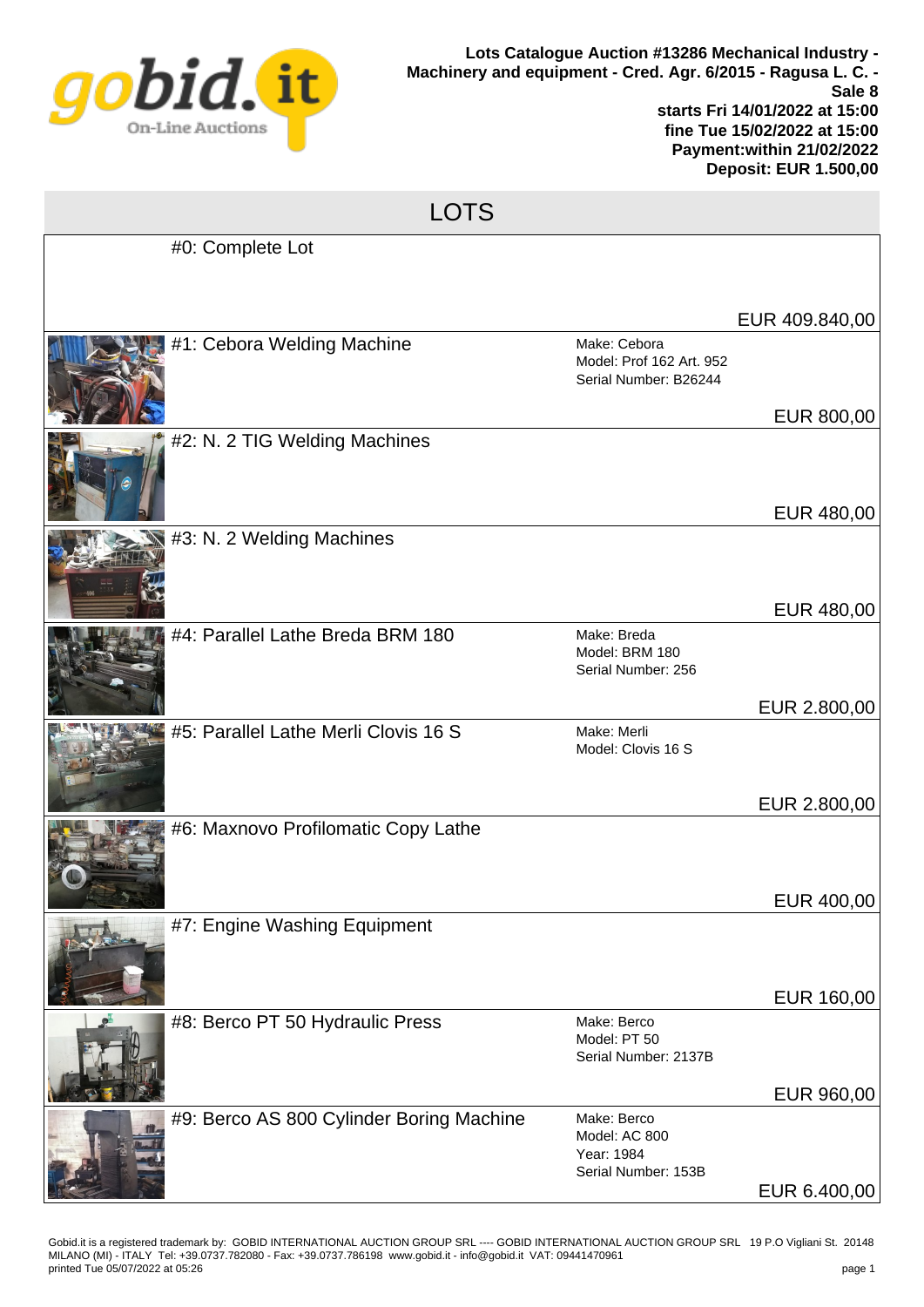

## LOTS

| #0: Complete Lot                         |                                                                   |                              |
|------------------------------------------|-------------------------------------------------------------------|------------------------------|
|                                          |                                                                   | EUR 409.840,00               |
| #1: Cebora Welding Machine               | Make: Cebora<br>Model: Prof 162 Art. 952<br>Serial Number: B26244 | EUR 800,00                   |
| #2: N. 2 TIG Welding Machines            |                                                                   | EUR 480,00                   |
| #3: N. 2 Welding Machines                |                                                                   | EUR 480,00                   |
| #4: Parallel Lathe Breda BRM 180         | Make: Breda<br>Model: BRM 180<br>Serial Number: 256               |                              |
| #5: Parallel Lathe Merli Clovis 16 S     | Make: Merli<br>Model: Clovis 16 S                                 | EUR 2.800,00<br>EUR 2.800,00 |
| #6: Maxnovo Profilomatic Copy Lathe      |                                                                   |                              |
| #7: Engine Washing Equipment             |                                                                   | EUR 400,00                   |
| #8: Berco PT 50 Hydraulic Press          | Make: Berco<br>Model: PT 50<br>Serial Number: 2137B               | EUR 160,00<br>EUR 960,00     |
| #9: Berco AS 800 Cylinder Boring Machine | Make: Berco<br>Model: AC 800<br>Year: 1984<br>Serial Number: 153B | EUR 6.400,00                 |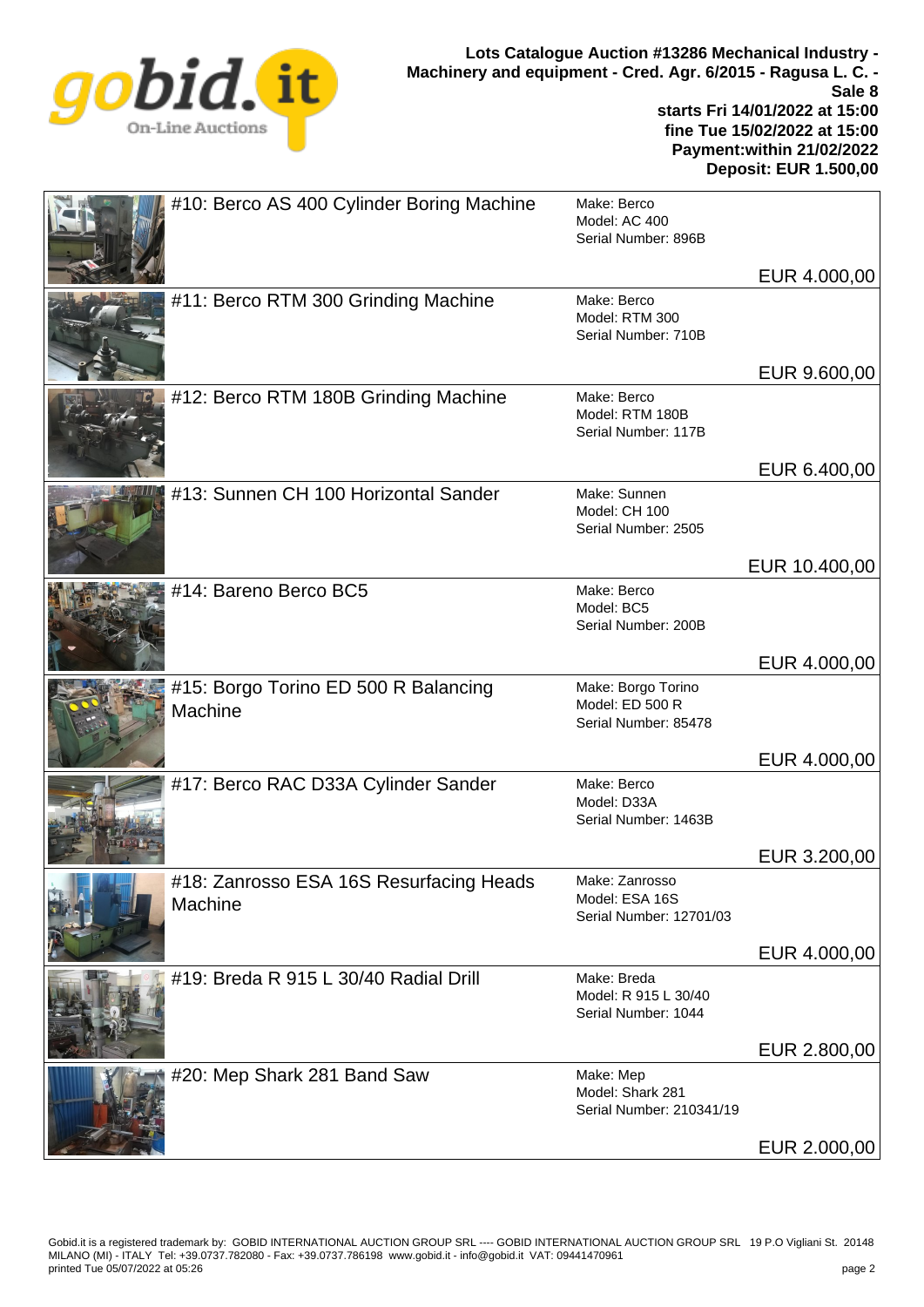

| #10: Berco AS 400 Cylinder Boring Machine          | Make: Berco<br>Model: AC 400<br>Serial Number: 896B           |               |
|----------------------------------------------------|---------------------------------------------------------------|---------------|
|                                                    |                                                               | EUR 4.000,00  |
| #11: Berco RTM 300 Grinding Machine                | Make: Berco<br>Model: RTM 300<br>Serial Number: 710B          |               |
|                                                    |                                                               | EUR 9.600,00  |
| #12: Berco RTM 180B Grinding Machine               | Make: Berco<br>Model: RTM 180B<br>Serial Number: 117B         |               |
|                                                    |                                                               | EUR 6.400,00  |
| #13: Sunnen CH 100 Horizontal Sander               | Make: Sunnen<br>Model: CH 100<br>Serial Number: 2505          |               |
|                                                    |                                                               | EUR 10.400,00 |
| #14: Bareno Berco BC5                              | Make: Berco<br>Model: BC5<br>Serial Number: 200B              |               |
|                                                    |                                                               | EUR 4.000,00  |
| #15: Borgo Torino ED 500 R Balancing<br>Machine    | Make: Borgo Torino<br>Model: ED 500 R<br>Serial Number: 85478 |               |
|                                                    |                                                               | EUR 4.000,00  |
| #17: Berco RAC D33A Cylinder Sander                | Make: Berco<br>Model: D33A<br>Serial Number: 1463B            |               |
|                                                    |                                                               | EUR 3.200,00  |
| #18: Zanrosso ESA 16S Resurfacing Heads<br>Machine | Make: Zanrosso<br>Model: ESA 16S<br>Serial Number: 12701/03   |               |
|                                                    |                                                               | EUR 4.000,00  |
| #19: Breda R 915 L 30/40 Radial Drill              | Make: Breda<br>Model: R 915 L 30/40<br>Serial Number: 1044    |               |
|                                                    |                                                               | EUR 2.800,00  |
| #20: Mep Shark 281 Band Saw                        | Make: Mep<br>Model: Shark 281<br>Serial Number: 210341/19     |               |
|                                                    |                                                               | EUR 2.000,00  |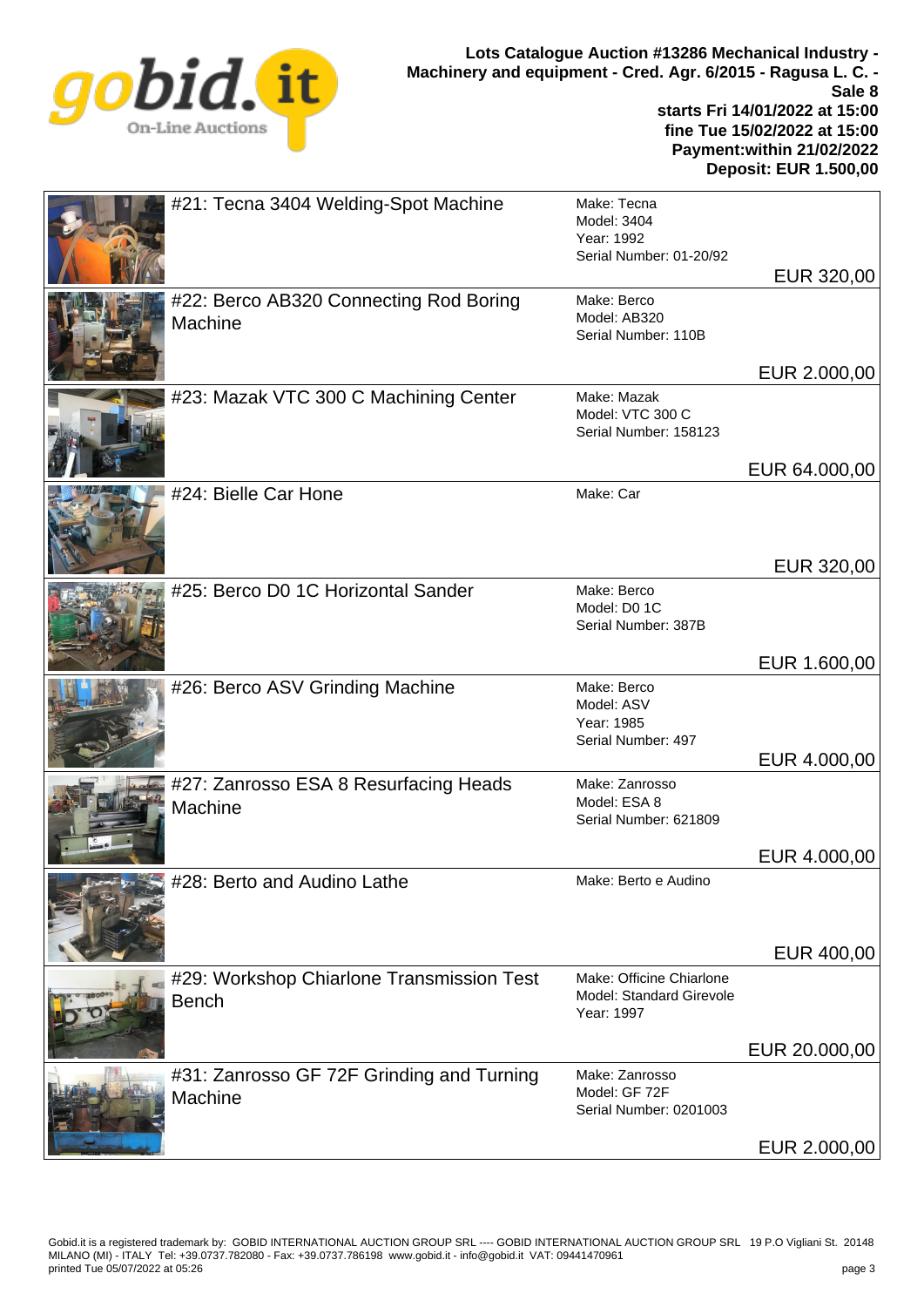

**Deposit: EUR 1.500,00**

| #21: Tecna 3404 Welding-Spot Machine                      | Make: Tecna<br>Model: 3404<br>Year: 1992<br>Serial Number: 01-20/92       | EUR 320,00                    |
|-----------------------------------------------------------|---------------------------------------------------------------------------|-------------------------------|
| #22: Berco AB320 Connecting Rod Boring<br>Machine         | Make: Berco<br>Model: AB320<br>Serial Number: 110B                        |                               |
| #23: Mazak VTC 300 C Machining Center                     | Make: Mazak<br>Model: VTC 300 C<br>Serial Number: 158123                  | EUR 2.000,00                  |
| #24: Bielle Car Hone                                      | Make: Car                                                                 | EUR 64.000,00                 |
| #25: Berco D0 1C Horizontal Sander                        | Make: Berco<br>Model: D0 1C<br>Serial Number: 387B                        | EUR 320,00                    |
| #26: Berco ASV Grinding Machine                           | Make: Berco<br>Model: ASV<br>Year: 1985<br>Serial Number: 497             | EUR 1.600,00<br>EUR 4.000,00  |
| #27: Zanrosso ESA 8 Resurfacing Heads<br>Machine          | Make: Zanrosso<br>Model: ESA 8<br>Serial Number: 621809                   |                               |
| Lessing #28: Berto and Audino Lathe                       | Make: Berto e Audino                                                      | EUR 4.000,00                  |
| #29: Workshop Chiarlone Transmission Test<br><b>Bench</b> | Make: Officine Chiarlone<br><b>Model: Standard Girevole</b><br>Year: 1997 | EUR 400,00                    |
| #31: Zanrosso GF 72F Grinding and Turning<br>Machine      | Make: Zanrosso<br>Model: GF 72F<br>Serial Number: 0201003                 | EUR 20.000,00<br>EUR 2.000,00 |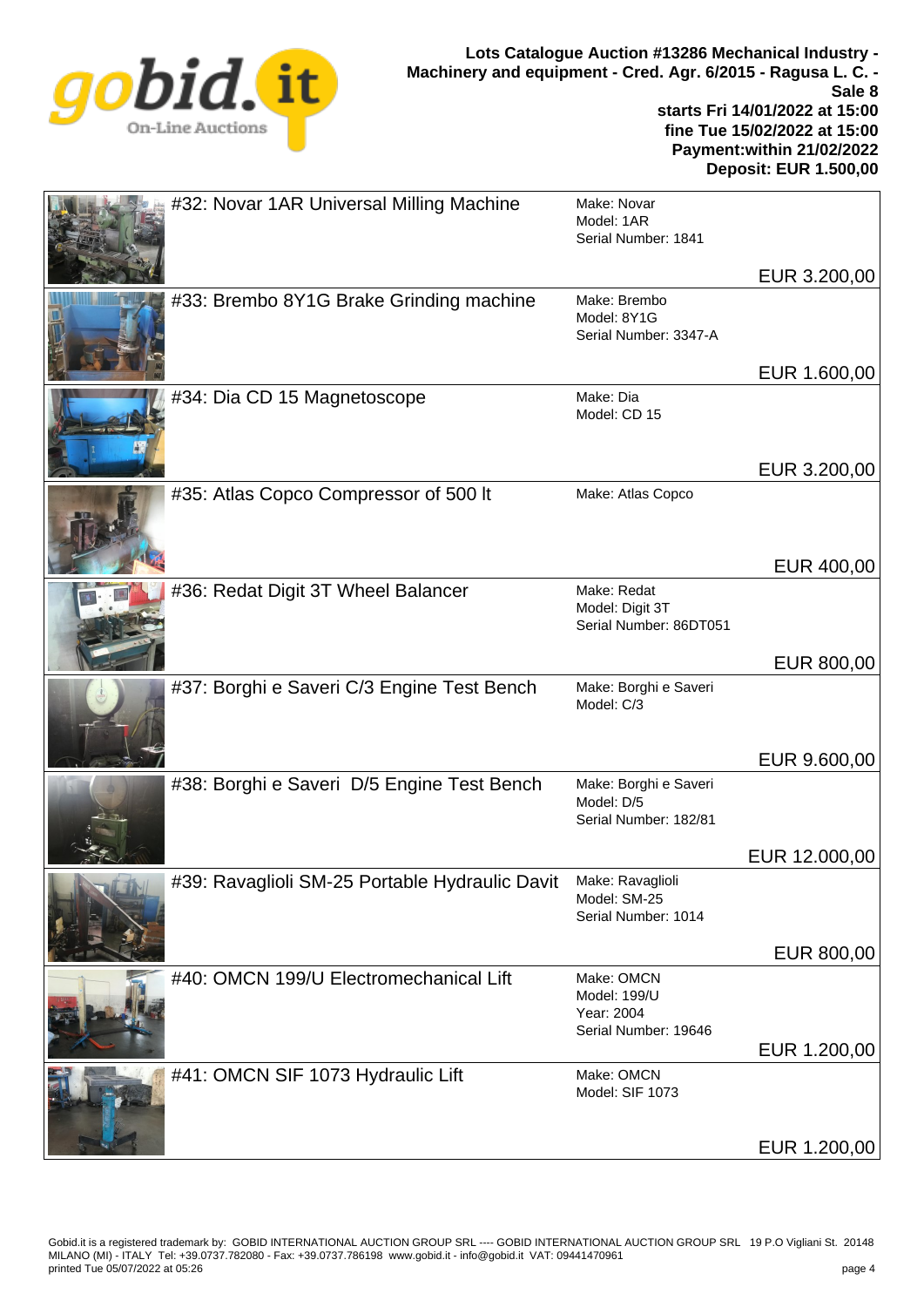

**Deposit: EUR 1.500,00**

|  | #32: Novar 1AR Universal Milling Machine                        | Make: Novar<br>Model: 1AR<br>Serial Number: 1841                 |               |
|--|-----------------------------------------------------------------|------------------------------------------------------------------|---------------|
|  |                                                                 |                                                                  | EUR 3.200,00  |
|  | #33: Brembo 8Y1G Brake Grinding machine                         | Make: Brembo<br>Model: 8Y1G<br>Serial Number: 3347-A             |               |
|  |                                                                 |                                                                  | EUR 1.600,00  |
|  | #34: Dia CD 15 Magnetoscope                                     | Make: Dia<br>Model: CD 15                                        |               |
|  |                                                                 |                                                                  | EUR 3.200,00  |
|  | #35: Atlas Copco Compressor of 500 lt                           | Make: Atlas Copco                                                |               |
|  |                                                                 |                                                                  | EUR 400,00    |
|  | #36: Redat Digit 3T Wheel Balancer                              | Make: Redat<br>Model: Digit 3T<br>Serial Number: 86DT051         |               |
|  |                                                                 |                                                                  | EUR 800,00    |
|  | #37: Borghi e Saveri C/3 Engine Test Bench                      | Make: Borghi e Saveri<br>Model: C/3                              |               |
|  |                                                                 |                                                                  | EUR 9.600,00  |
|  | #38: Borghi e Saveri D/5 Engine Test Bench                      | Make: Borghi e Saveri<br>Model: D/5<br>Serial Number: 182/81     |               |
|  |                                                                 |                                                                  | EUR 12.000,00 |
|  | #39: Ravaglioli SM-25 Portable Hydraulic Davit Make: Ravaglioli | Model: SM-25<br>Serial Number: 1014                              |               |
|  |                                                                 |                                                                  | EUR 800,00    |
|  | #40: OMCN 199/U Electromechanical Lift                          | Make: OMCN<br>Model: 199/U<br>Year: 2004<br>Serial Number: 19646 |               |
|  |                                                                 |                                                                  | EUR 1.200,00  |
|  | #41: OMCN SIF 1073 Hydraulic Lift                               | Make: OMCN<br>Model: SIF 1073                                    |               |
|  |                                                                 |                                                                  | EUR 1.200,00  |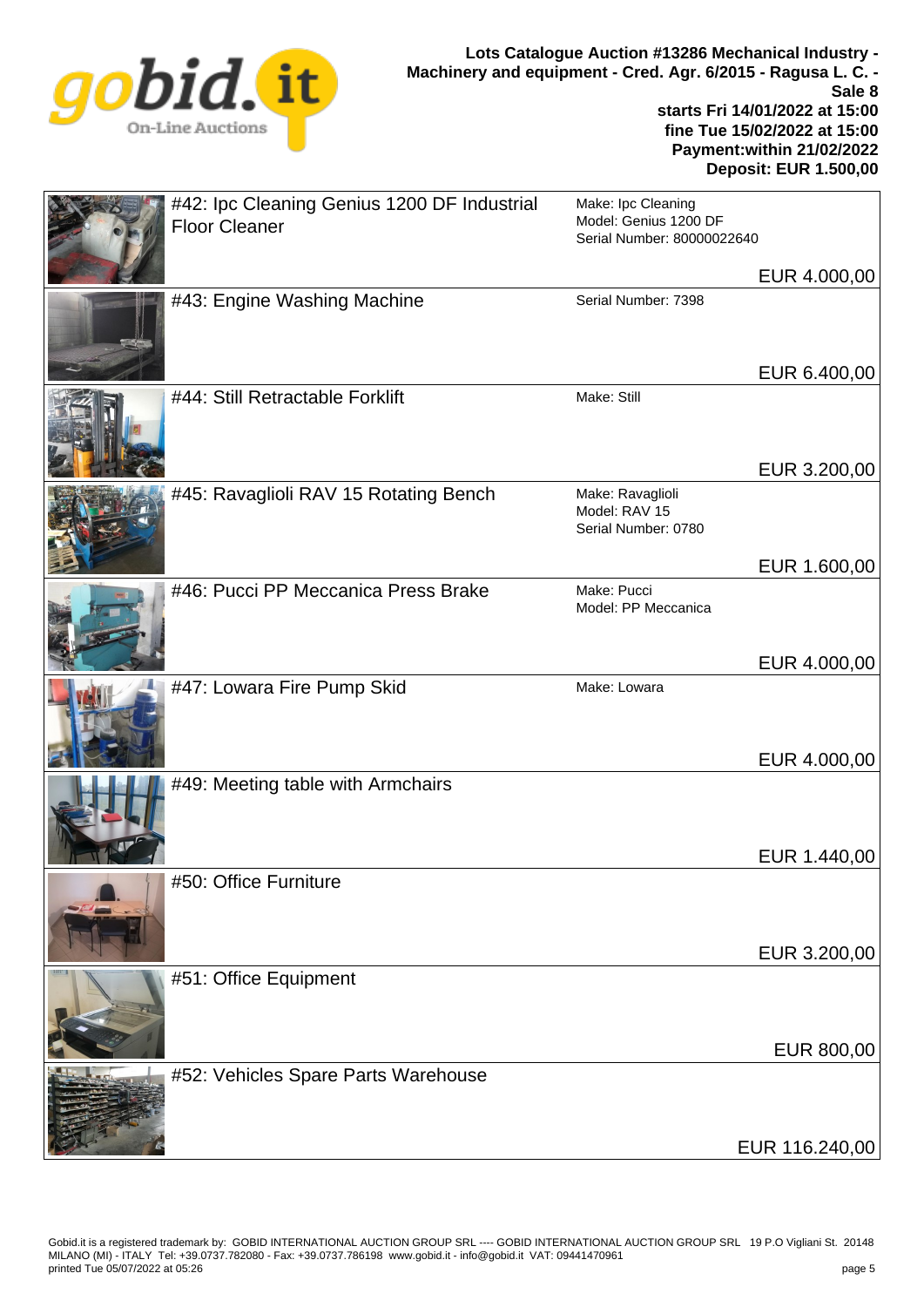

| #42: Ipc Cleaning Genius 1200 DF Industrial<br><b>Floor Cleaner</b> | Make: Ipc Cleaning<br>Model: Genius 1200 DF<br>Serial Number: 80000022640 |                |
|---------------------------------------------------------------------|---------------------------------------------------------------------------|----------------|
|                                                                     |                                                                           | EUR 4.000,00   |
| #43: Engine Washing Machine                                         | Serial Number: 7398                                                       |                |
| #44: Still Retractable Forklift                                     | Make: Still                                                               | EUR 6.400,00   |
|                                                                     |                                                                           |                |
|                                                                     |                                                                           | EUR 3.200,00   |
| #45: Ravaglioli RAV 15 Rotating Bench                               | Make: Ravaglioli<br>Model: RAV 15<br>Serial Number: 0780                  |                |
|                                                                     |                                                                           | EUR 1.600,00   |
| #46: Pucci PP Meccanica Press Brake                                 | Make: Pucci<br>Model: PP Meccanica                                        |                |
|                                                                     |                                                                           | EUR 4.000,00   |
| #47: Lowara Fire Pump Skid                                          | Make: Lowara                                                              | EUR 4.000,00   |
| #49: Meeting table with Armchairs                                   |                                                                           |                |
|                                                                     |                                                                           |                |
| #50: Office Furniture                                               |                                                                           | EUR 1.440,00   |
|                                                                     |                                                                           |                |
|                                                                     |                                                                           | EUR 3.200,00   |
| #51: Office Equipment                                               |                                                                           |                |
|                                                                     |                                                                           | EUR 800,00     |
| #52: Vehicles Spare Parts Warehouse                                 |                                                                           | EUR 116.240,00 |